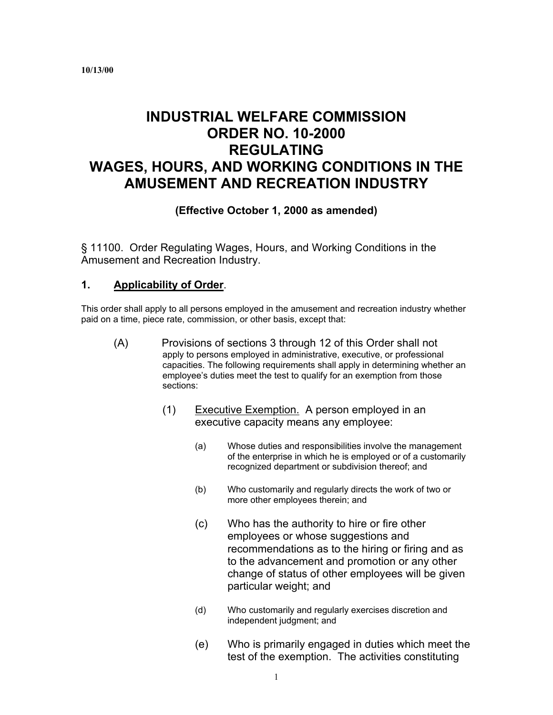# **INDUSTRIAL WELFARE COMMISSION ORDER NO. 10-2000 REGULATING WAGES, HOURS, AND WORKING CONDITIONS IN THE AMUSEMENT AND RECREATION INDUSTRY**

#### **(Effective October 1, 2000 as amended)**

§ 11100. Order Regulating Wages, Hours, and Working Conditions in the Amusement and Recreation Industry.

#### **1. Applicability of Order**.

This order shall apply to all persons employed in the amusement and recreation industry whether paid on a time, piece rate, commission, or other basis, except that:

- $(A)$ Provisions of sections 3 through 12 of this Order shall not apply to persons employed in administrative, executive, or professional capacities. The following requirements shall apply in determining whether an employee's duties meet the test to qualify for an exemption from those sections:
	- (1) Executive Exemption. A person employed in an executive capacity means any employee:
		- (a) Whose duties and responsibilities involve the management of the enterprise in which he is employed or of a customarily recognized department or subdivision thereof; and
		- (b) Who customarily and regularly directs the work of two or more other employees therein; and
		- (c) Who has the authority to hire or fire other employees or whose suggestions and recommendations as to the hiring or firing and as to the advancement and promotion or any other change of status of other employees will be given particular weight; and
		- (d) Who customarily and regularly exercises discretion and independent judgment; and
		- (e) Who is primarily engaged in duties which meet the test of the exemption. The activities constituting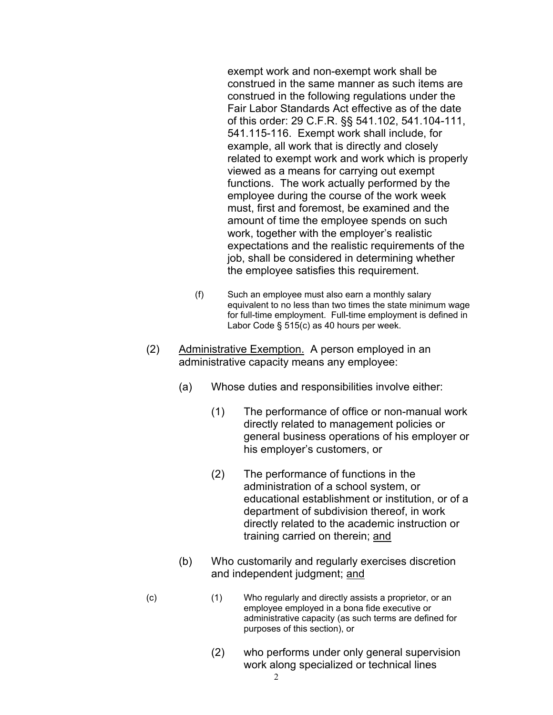exempt work and non-exempt work shall be construed in the same manner as such items are construed in the following regulations under the Fair Labor Standards Act effective as of the date of this order: 29 C.F.R. §§ 541.102, 541.104-111, 541.115-116. Exempt work shall include, for example, all work that is directly and closely related to exempt work and work which is properly viewed as a means for carrying out exempt functions. The work actually performed by the employee during the course of the work week must, first and foremost, be examined and the amount of time the employee spends on such work, together with the employer's realistic expectations and the realistic requirements of the job, shall be considered in determining whether the employee satisfies this requirement.

- (f) Such an employee must also earn a monthly salary equivalent to no less than two times the state minimum wage for full-time employment. Full-time employment is defined in Labor Code § 515(c) as 40 hours per week.
- (2) Administrative Exemption. A person employed in an administrative capacity means any employee:
	- (a) Whose duties and responsibilities involve either:
		- (1) The performance of office or non-manual work directly related to management policies or general business operations of his employer or his employer's customers, or
		- (2) The performance of functions in the administration of a school system, or educational establishment or institution, or of a department of subdivision thereof, in work directly related to the academic instruction or training carried on therein; and
	- (b) Who customarily and regularly exercises discretion and independent judgment; and
- (c) (1) Who regularly and directly assists a proprietor, or an employee employed in a bona fide executive or administrative capacity (as such terms are defined for purposes of this section), or
	- (2) who performs under only general supervision work along specialized or technical lines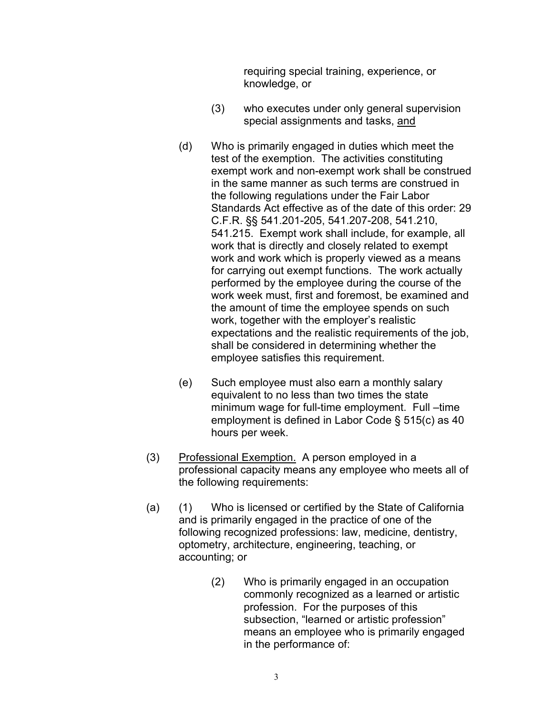requiring special training, experience, or knowledge, or

- (3) who executes under only general supervision special assignments and tasks, and
- (d) Who is primarily engaged in duties which meet the test of the exemption. The activities constituting exempt work and non-exempt work shall be construed in the same manner as such terms are construed in the following regulations under the Fair Labor Standards Act effective as of the date of this order: 29 C.F.R. §§ 541.201-205, 541.207-208, 541.210, 541.215. Exempt work shall include, for example, all work that is directly and closely related to exempt work and work which is properly viewed as a means for carrying out exempt functions. The work actually performed by the employee during the course of the work week must, first and foremost, be examined and the amount of time the employee spends on such work, together with the employer's realistic expectations and the realistic requirements of the job, shall be considered in determining whether the employee satisfies this requirement.
- (e) Such employee must also earn a monthly salary equivalent to no less than two times the state minimum wage for full-time employment. Full –time employment is defined in Labor Code § 515(c) as 40 hours per week.
- (3) Professional Exemption. A person employed in a professional capacity means any employee who meets all of the following requirements:
- (a) (1) Who is licensed or certified by the State of California and is primarily engaged in the practice of one of the following recognized professions: law, medicine, dentistry, optometry, architecture, engineering, teaching, or accounting; or
	- (2) Who is primarily engaged in an occupation commonly recognized as a learned or artistic profession. For the purposes of this subsection, "learned or artistic profession" means an employee who is primarily engaged in the performance of: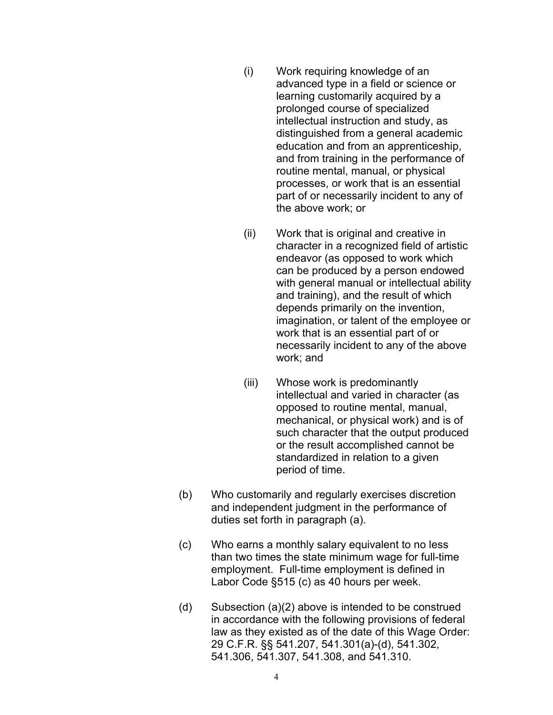- (i) Work requiring knowledge of an advanced type in a field or science or learning customarily acquired by a prolonged course of specialized intellectual instruction and study, as distinguished from a general academic education and from an apprenticeship, and from training in the performance of routine mental, manual, or physical processes, or work that is an essential part of or necessarily incident to any of the above work; or
- (ii) Work that is original and creative in character in a recognized field of artistic endeavor (as opposed to work which can be produced by a person endowed with general manual or intellectual ability and training), and the result of which depends primarily on the invention, imagination, or talent of the employee or work that is an essential part of or necessarily incident to any of the above work; and
- (iii) Whose work is predominantly intellectual and varied in character (as opposed to routine mental, manual, mechanical, or physical work) and is of such character that the output produced or the result accomplished cannot be standardized in relation to a given period of time.
- (b) Who customarily and regularly exercises discretion and independent judgment in the performance of duties set forth in paragraph (a).
- (c) Who earns a monthly salary equivalent to no less than two times the state minimum wage for full-time employment. Full-time employment is defined in Labor Code §515 (c) as 40 hours per week.
- (d) Subsection  $(a)(2)$  above is intended to be construed in accordance with the following provisions of federal law as they existed as of the date of this Wage Order: 29 C.F.R. §§ 541.207, 541.301(a)-(d), 541.302, 541.306, 541.307, 541.308, and 541.310.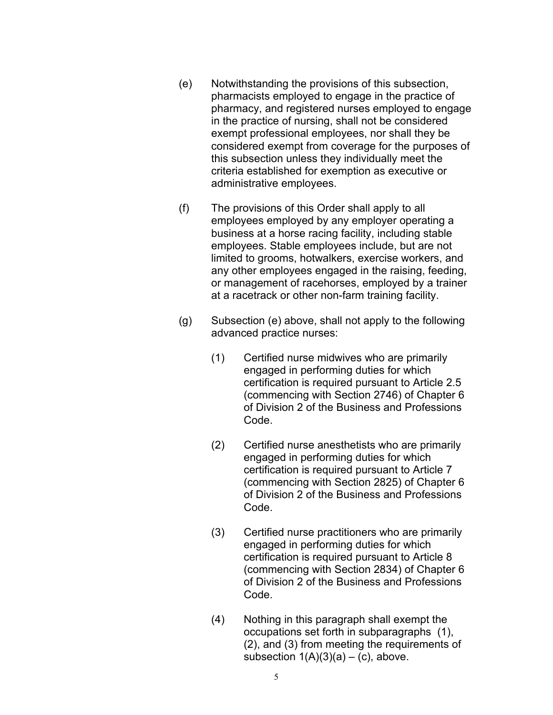- (e) Notwithstanding the provisions of this subsection, pharmacists employed to engage in the practice of pharmacy, and registered nurses employed to engage in the practice of nursing, shall not be considered exempt professional employees, nor shall they be considered exempt from coverage for the purposes of this subsection unless they individually meet the criteria established for exemption as executive or administrative employees.
- (f) The provisions of this Order shall apply to all employees employed by any employer operating a business at a horse racing facility, including stable employees. Stable employees include, but are not limited to grooms, hotwalkers, exercise workers, and any other employees engaged in the raising, feeding, or management of racehorses, employed by a trainer at a racetrack or other non-farm training facility.
- (g) Subsection (e) above, shall not apply to the following advanced practice nurses:
	- (1) Certified nurse midwives who are primarily engaged in performing duties for which certification is required pursuant to Article 2.5 (commencing with Section 2746) of Chapter 6 of Division 2 of the Business and Professions Code.
	- (2) Certified nurse anesthetists who are primarily engaged in performing duties for which certification is required pursuant to Article 7 (commencing with Section 2825) of Chapter 6 of Division 2 of the Business and Professions Code.
	- (3) Certified nurse practitioners who are primarily engaged in performing duties for which certification is required pursuant to Article 8 (commencing with Section 2834) of Chapter 6 of Division 2 of the Business and Professions Code.
	- (4) Nothing in this paragraph shall exempt the occupations set forth in subparagraphs (1), (2), and (3) from meeting the requirements of subsection  $1(A)(3)(a) - (c)$ , above.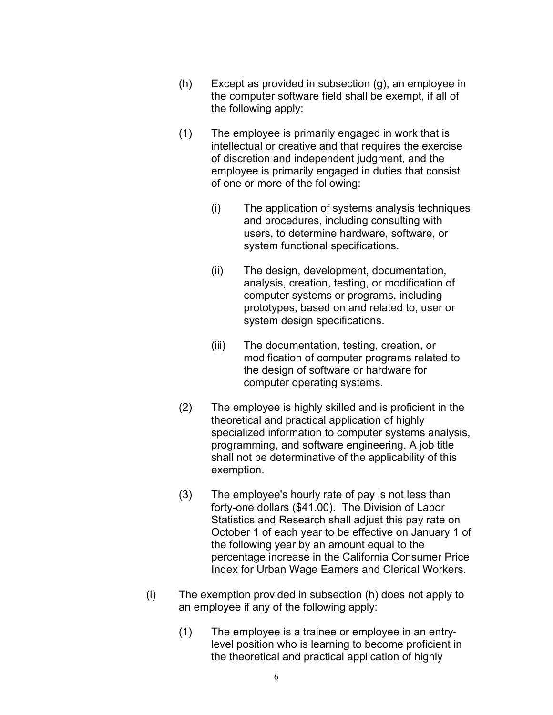- $(h)$  Except as provided in subsection  $(g)$ , an employee in the computer software field shall be exempt, if all of the following apply:
- (1) The employee is primarily engaged in work that is intellectual or creative and that requires the exercise of discretion and independent judgment, and the employee is primarily engaged in duties that consist of one or more of the following:
	- (i) The application of systems analysis techniques and procedures, including consulting with users, to determine hardware, software, or system functional specifications.
	- (ii) The design, development, documentation, analysis, creation, testing, or modification of computer systems or programs, including prototypes, based on and related to, user or system design specifications.
	- (iii) The documentation, testing, creation, or modification of computer programs related to the design of software or hardware for computer operating systems.
- (2) The employee is highly skilled and is proficient in the theoretical and practical application of highly specialized information to computer systems analysis, programming, and software engineering. A job title shall not be determinative of the applicability of this exemption.
- (3) The employee's hourly rate of pay is not less than forty-one dollars (\$41.00). The Division of Labor Statistics and Research shall adjust this pay rate on October 1 of each year to be effective on January 1 of the following year by an amount equal to the percentage increase in the California Consumer Price Index for Urban Wage Earners and Clerical Workers.
- (i) The exemption provided in subsection (h) does not apply to an employee if any of the following apply:
	- $(1)$  The employee is a trainee or employee in an entrylevel position who is learning to become proficient in the theoretical and practical application of highly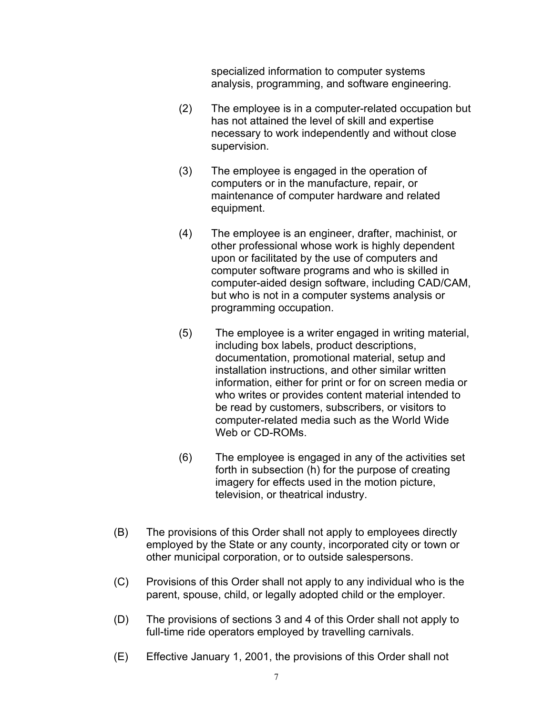specialized information to computer systems analysis, programming, and software engineering.

- (2) The employee is in a computer-related occupation but has not attained the level of skill and expertise necessary to work independently and without close supervision.
- (3) The employee is engaged in the operation of computers or in the manufacture, repair, or maintenance of computer hardware and related equipment.
- (4) The employee is an engineer, drafter, machinist, or other professional whose work is highly dependent upon or facilitated by the use of computers and computer software programs and who is skilled in computer-aided design software, including CAD/CAM, but who is not in a computer systems analysis or programming occupation.
- $(5)$ The employee is a writer engaged in writing material, including box labels, product descriptions, documentation, promotional material, setup and installation instructions, and other similar written information, either for print or for on screen media or who writes or provides content material intended to be read by customers, subscribers, or visitors to computer-related media such as the World Wide Web or CD-ROMs.
- $(6)$ The employee is engaged in any of the activities set forth in subsection (h) for the purpose of creating imagery for effects used in the motion picture, television, or theatrical industry.
- (B) The provisions of this Order shall not apply to employees directly employed by the State or any county, incorporated city or town or other municipal corporation, or to outside salespersons.
- (C) Provisions of this Order shall not apply to any individual who is the parent, spouse, child, or legally adopted child or the employer.
- (D) The provisions of sections 3 and 4 of this Order shall not apply to full-time ride operators employed by travelling carnivals.
- (E) Effective January 1, 2001, the provisions of this Order shall not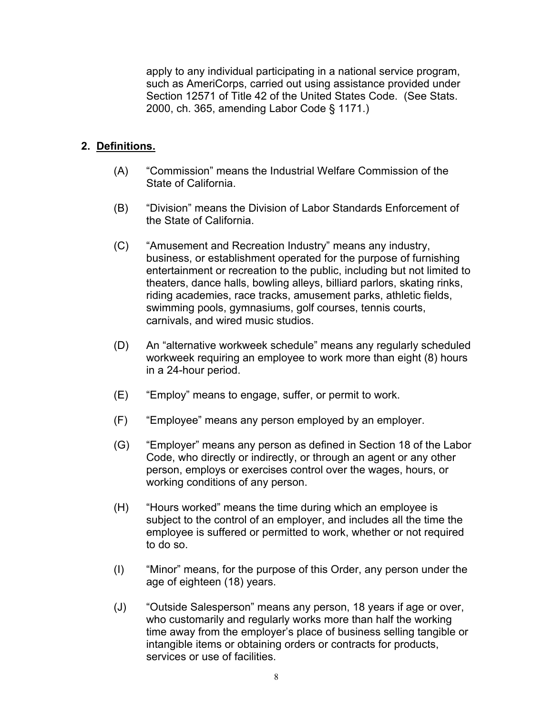apply to any individual participating in a national service program, such as AmeriCorps, carried out using assistance provided under Section 12571 of Title 42 of the United States Code. (See Stats. 2000, ch. 365, amending Labor Code § 1171.)

### **2. Definitions.**

- (A) "Commission" means the Industrial Welfare Commission of the State of California.
- (B) "Division" means the Division of Labor Standards Enforcement of the State of California.
- (C) "Amusement and Recreation Industry" means any industry, business, or establishment operated for the purpose of furnishing entertainment or recreation to the public, including but not limited to theaters, dance halls, bowling alleys, billiard parlors, skating rinks, riding academies, race tracks, amusement parks, athletic fields, swimming pools, gymnasiums, golf courses, tennis courts, carnivals, and wired music studios.
- (D) An "alternative workweek schedule" means any regularly scheduled workweek requiring an employee to work more than eight (8) hours in a 24-hour period.
- $(E)$ "Employ" means to engage, suffer, or permit to work.
- $(F)$ "Employee" means any person employed by an employer.
- (G) "Employer" means any person as defined in Section 18 of the Labor Code, who directly or indirectly, or through an agent or any other person, employs or exercises control over the wages, hours, or working conditions of any person.
- (H) "Hours worked" means the time during which an employee is subject to the control of an employer, and includes all the time the employee is suffered or permitted to work, whether or not required to do so.
- (I) "Minor" means, for the purpose of this Order, any person under the age of eighteen (18) years.
- (J) "Outside Salesperson" means any person, 18 years if age or over, who customarily and regularly works more than half the working time away from the employer's place of business selling tangible or intangible items or obtaining orders or contracts for products, services or use of facilities.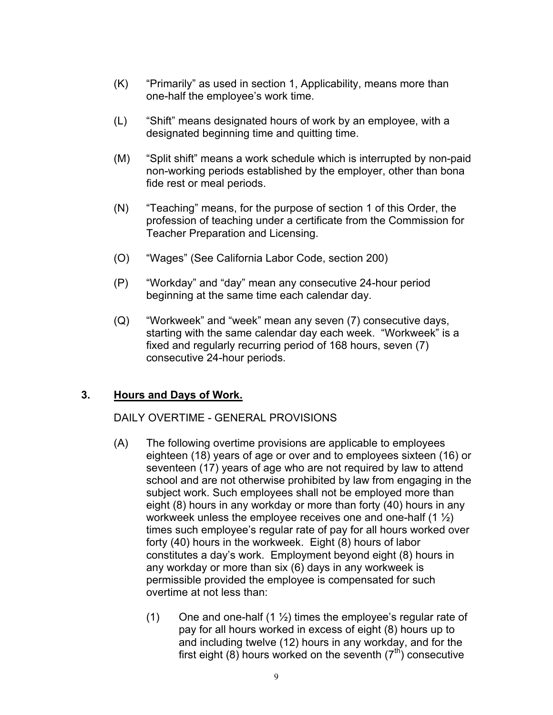- $(K)$  "Primarily" as used in section 1, Applicability, means more than one-half the employee's work time.
- (L) "Shift" means designated hours of work by an employee, with a designated beginning time and quitting time.
- (M) "Split shift" means a work schedule which is interrupted by non-paid non-working periods established by the employer, other than bona fide rest or meal periods.
- (N) "Teaching" means, for the purpose of section 1 of this Order, the profession of teaching under a certificate from the Commission for Teacher Preparation and Licensing.
- $(O)$ "Wages" (See California Labor Code, section 200)
- (P) "Workday" and "day" mean any consecutive 24-hour period beginning at the same time each calendar day.
- (Q) "Workweek" and "week" mean any seven (7) consecutive days, starting with the same calendar day each week. "Workweek" is a fixed and regularly recurring period of 168 hours, seven (7) consecutive 24-hour periods.

#### **3. Hours and Days of Work.**

#### DAILY OVERTIME - GENERAL PROVISIONS

- constitutes a day's work. Employment beyond eight (8) hours in (A) The following overtime provisions are applicable to employees eighteen (18) years of age or over and to employees sixteen (16) or seventeen (17) years of age who are not required by law to attend school and are not otherwise prohibited by law from engaging in the subject work. Such employees shall not be employed more than eight (8) hours in any workday or more than forty (40) hours in any workweek unless the employee receives one and one-half  $(1 \frac{1}{2})$ times such employee's regular rate of pay for all hours worked over forty (40) hours in the workweek. Eight (8) hours of labor any workday or more than six (6) days in any workweek is permissible provided the employee is compensated for such overtime at not less than:
	- (1) One and one-half (1  $\frac{1}{2}$ ) times the employee's regular rate of pay for all hours worked in excess of eight (8) hours up to and including twelve (12) hours in any workday, and for the first eight (8) hours worked on the seventh  $(7<sup>th</sup>)$  consecutive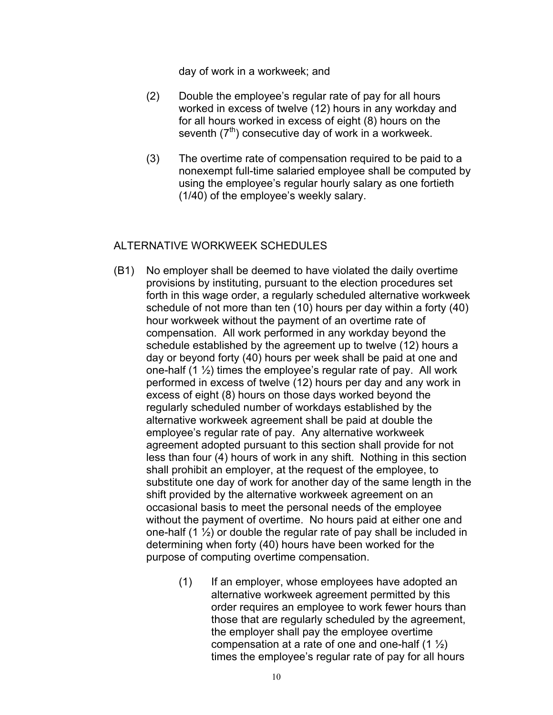day of work in a workweek; and

- (2) Double the employee's regular rate of pay for all hours worked in excess of twelve (12) hours in any workday and for all hours worked in excess of eight (8) hours on the seventh  $(7<sup>th</sup>)$  consecutive day of work in a workweek.
- (3) The overtime rate of compensation required to be paid to a nonexempt full-time salaried employee shall be computed by using the employee's regular hourly salary as one fortieth (1/40) of the employee's weekly salary.

#### ALTERNATIVE WORKWEEK SCHEDULES

- (B1) No employer shall be deemed to have violated the daily overtime provisions by instituting, pursuant to the election procedures set forth in this wage order, a regularly scheduled alternative workweek schedule of not more than ten (10) hours per day within a forty (40) hour workweek without the payment of an overtime rate of compensation. All work performed in any workday beyond the schedule established by the agreement up to twelve (12) hours a day or beyond forty (40) hours per week shall be paid at one and one-half  $(1 \frac{1}{2})$  times the employee's regular rate of pay. All work performed in excess of twelve (12) hours per day and any work in excess of eight (8) hours on those days worked beyond the regularly scheduled number of workdays established by the alternative workweek agreement shall be paid at double the employee's regular rate of pay. Any alternative workweek agreement adopted pursuant to this section shall provide for not less than four (4) hours of work in any shift. Nothing in this section shall prohibit an employer, at the request of the employee, to substitute one day of work for another day of the same length in the shift provided by the alternative workweek agreement on an occasional basis to meet the personal needs of the employee without the payment of overtime. No hours paid at either one and one-half  $(1 \frac{1}{2})$  or double the regular rate of pay shall be included in determining when forty (40) hours have been worked for the purpose of computing overtime compensation.
	- (1) If an employer, whose employees have adopted an alternative workweek agreement permitted by this order requires an employee to work fewer hours than those that are regularly scheduled by the agreement, the employer shall pay the employee overtime compensation at a rate of one and one-half  $(1 \frac{1}{2})$ times the employee's regular rate of pay for all hours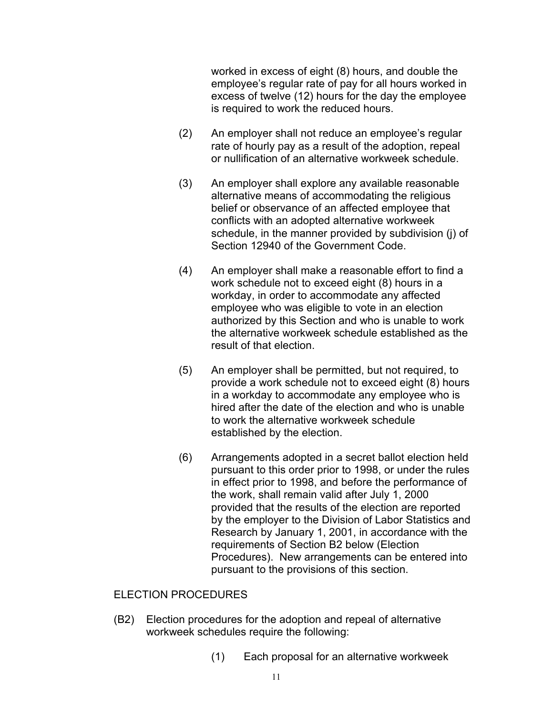worked in excess of eight (8) hours, and double the employee's regular rate of pay for all hours worked in excess of twelve (12) hours for the day the employee is required to work the reduced hours.

- (2) An employer shall not reduce an employee's regular rate of hourly pay as a result of the adoption, repeal or nullification of an alternative workweek schedule.
- (3) An employer shall explore any available reasonable alternative means of accommodating the religious belief or observance of an affected employee that conflicts with an adopted alternative workweek schedule, in the manner provided by subdivision (j) of Section 12940 of the Government Code.
- (4) An employer shall make a reasonable effort to find a work schedule not to exceed eight (8) hours in a workday, in order to accommodate any affected employee who was eligible to vote in an election authorized by this Section and who is unable to work the alternative workweek schedule established as the result of that election.
- (5) An employer shall be permitted, but not required, to provide a work schedule not to exceed eight (8) hours in a workday to accommodate any employee who is hired after the date of the election and who is unable to work the alternative workweek schedule established by the election.
- (6) Arrangements adopted in a secret ballot election held pursuant to this order prior to 1998, or under the rules in effect prior to 1998, and before the performance of the work, shall remain valid after July 1, 2000 provided that the results of the election are reported by the employer to the Division of Labor Statistics and Research by January 1, 2001, in accordance with the requirements of Section B2 below (Election Procedures). New arrangements can be entered into pursuant to the provisions of this section.

#### ELECTION PROCEDURES

- (B2) Election procedures for the adoption and repeal of alternative workweek schedules require the following:
	- (1) Each proposal for an alternative workweek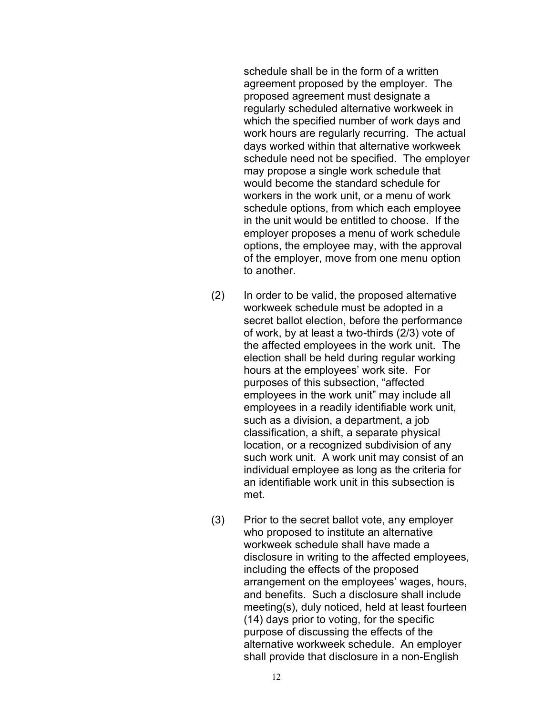schedule shall be in the form of a written agreement proposed by the employer. The proposed agreement must designate a regularly scheduled alternative workweek in which the specified number of work days and work hours are regularly recurring. The actual days worked within that alternative workweek schedule need not be specified. The employer may propose a single work schedule that would become the standard schedule for workers in the work unit, or a menu of work schedule options, from which each employee in the unit would be entitled to choose. If the employer proposes a menu of work schedule options, the employee may, with the approval of the employer, move from one menu option to another.

- (2) In order to be valid, the proposed alternative workweek schedule must be adopted in a secret ballot election, before the performance of work, by at least a two-thirds (2/3) vote of the affected employees in the work unit. The election shall be held during regular working hours at the employees' work site. For purposes of this subsection, "affected employees in the work unit" may include all employees in a readily identifiable work unit, such as a division, a department, a job classification, a shift, a separate physical location, or a recognized subdivision of any such work unit. A work unit may consist of an individual employee as long as the criteria for an identifiable work unit in this subsection is met.
- (3) Prior to the secret ballot vote, any employer who proposed to institute an alternative workweek schedule shall have made a disclosure in writing to the affected employees, including the effects of the proposed arrangement on the employees' wages, hours, and benefits. Such a disclosure shall include meeting(s), duly noticed, held at least fourteen (14) days prior to voting, for the specific purpose of discussing the effects of the alternative workweek schedule. An employer shall provide that disclosure in a non-English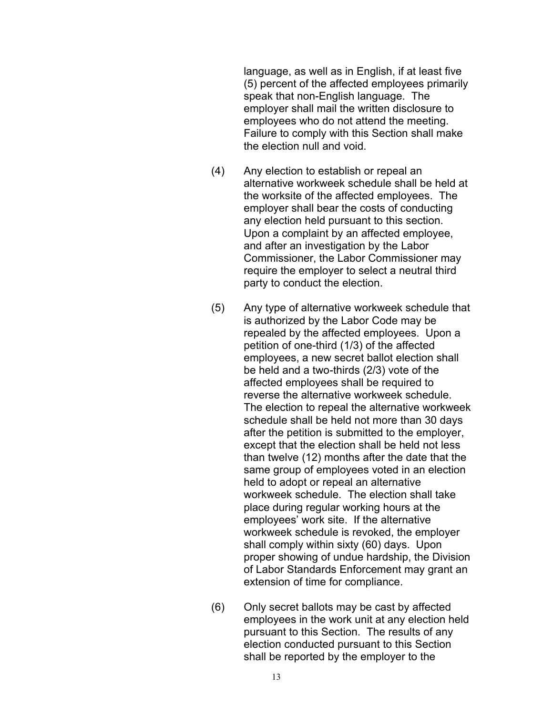language, as well as in English, if at least five (5) percent of the affected employees primarily speak that non-English language. The employer shall mail the written disclosure to employees who do not attend the meeting. Failure to comply with this Section shall make the election null and void.

- (4) Any election to establish or repeal an alternative workweek schedule shall be held at the worksite of the affected employees. The employer shall bear the costs of conducting any election held pursuant to this section. Upon a complaint by an affected employee, and after an investigation by the Labor Commissioner, the Labor Commissioner may require the employer to select a neutral third party to conduct the election.
- (5) Any type of alternative workweek schedule that is authorized by the Labor Code may be repealed by the affected employees. Upon a petition of one-third (1/3) of the affected employees, a new secret ballot election shall be held and a two-thirds (2/3) vote of the affected employees shall be required to reverse the alternative workweek schedule. The election to repeal the alternative workweek schedule shall be held not more than 30 days after the petition is submitted to the employer, except that the election shall be held not less than twelve (12) months after the date that the same group of employees voted in an election held to adopt or repeal an alternative workweek schedule. The election shall take place during regular working hours at the employees' work site. If the alternative workweek schedule is revoked, the employer shall comply within sixty (60) days. Upon proper showing of undue hardship, the Division of Labor Standards Enforcement may grant an extension of time for compliance.
- (6) Only secret ballots may be cast by affected employees in the work unit at any election held pursuant to this Section. The results of any election conducted pursuant to this Section shall be reported by the employer to the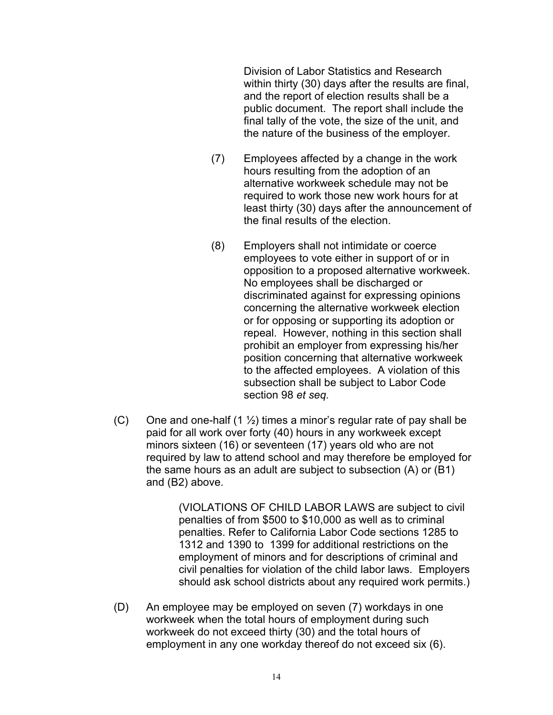Division of Labor Statistics and Research within thirty (30) days after the results are final, and the report of election results shall be a public document. The report shall include the final tally of the vote, the size of the unit, and the nature of the business of the employer.

- (7) Employees affected by a change in the work hours resulting from the adoption of an alternative workweek schedule may not be required to work those new work hours for at least thirty (30) days after the announcement of the final results of the election.
- (8) Employers shall not intimidate or coerce employees to vote either in support of or in opposition to a proposed alternative workweek. No employees shall be discharged or discriminated against for expressing opinions concerning the alternative workweek election or for opposing or supporting its adoption or repeal. However, nothing in this section shall prohibit an employer from expressing his/her position concerning that alternative workweek to the affected employees. A violation of this subsection shall be subject to Labor Code section 98 *et seq.*
- (C) One and one-half (1  $\frac{1}{2}$ ) times a minor's regular rate of pay shall be paid for all work over forty (40) hours in any workweek except minors sixteen (16) or seventeen (17) years old who are not required by law to attend school and may therefore be employed for the same hours as an adult are subject to subsection (A) or (B1) and (B2) above.

(VIOLATIONS OF CHILD LABOR LAWS are subject to civil penalties of from \$500 to \$10,000 as well as to criminal penalties. Refer to California Labor Code sections 1285 to 1312 and 1390 to 1399 for additional restrictions on the employment of minors and for descriptions of criminal and civil penalties for violation of the child labor laws. Employers should ask school districts about any required work permits.)

(D) An employee may be employed on seven (7) workdays in one workweek when the total hours of employment during such workweek do not exceed thirty (30) and the total hours of employment in any one workday thereof do not exceed six (6).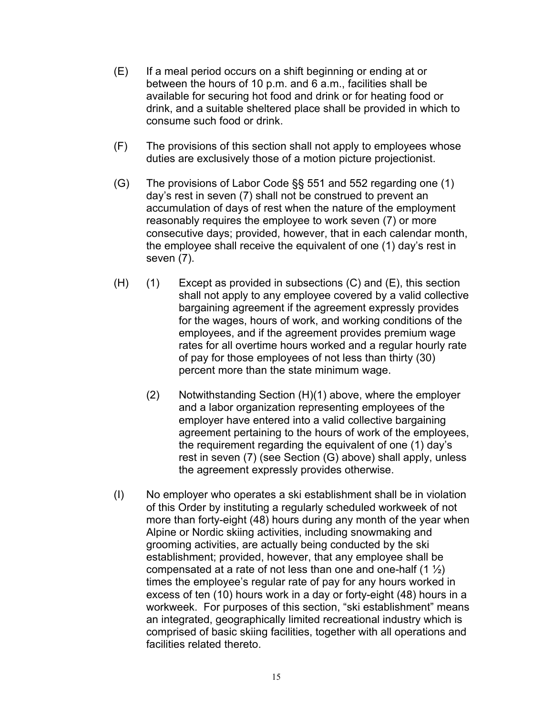- (E) If a meal period occurs on a shift beginning or ending at or between the hours of 10 p.m. and 6 a.m., facilities shall be available for securing hot food and drink or for heating food or drink, and a suitable sheltered place shall be provided in which to consume such food or drink.
- (F) The provisions of this section shall not apply to employees whose duties are exclusively those of a motion picture projectionist.
- (G) The provisions of Labor Code  $\S$ § 551 and 552 regarding one (1) day's rest in seven (7) shall not be construed to prevent an accumulation of days of rest when the nature of the employment reasonably requires the employee to work seven (7) or more consecutive days; provided, however, that in each calendar month, the employee shall receive the equivalent of one (1) day's rest in seven (7).
- $(H)$  (1) Except as provided in subsections  $(C)$  and  $(E)$ , this section shall not apply to any employee covered by a valid collective bargaining agreement if the agreement expressly provides for the wages, hours of work, and working conditions of the employees, and if the agreement provides premium wage rates for all overtime hours worked and a regular hourly rate of pay for those employees of not less than thirty (30) percent more than the state minimum wage.
	- $(2)$  Notwithstanding Section  $(H)(1)$  above, where the employer and a labor organization representing employees of the employer have entered into a valid collective bargaining agreement pertaining to the hours of work of the employees, the requirement regarding the equivalent of one (1) day's rest in seven (7) (see Section (G) above) shall apply, unless the agreement expressly provides otherwise.
- (I) No employer who operates a ski establishment shall be in violation of this Order by instituting a regularly scheduled workweek of not more than forty-eight (48) hours during any month of the year when Alpine or Nordic skiing activities, including snowmaking and grooming activities, are actually being conducted by the ski establishment; provided, however, that any employee shall be compensated at a rate of not less than one and one-half  $(1 \frac{1}{2})$ times the employee's regular rate of pay for any hours worked in excess of ten (10) hours work in a day or forty-eight (48) hours in a workweek. For purposes of this section, "ski establishment" means an integrated, geographically limited recreational industry which is comprised of basic skiing facilities, together with all operations and facilities related thereto.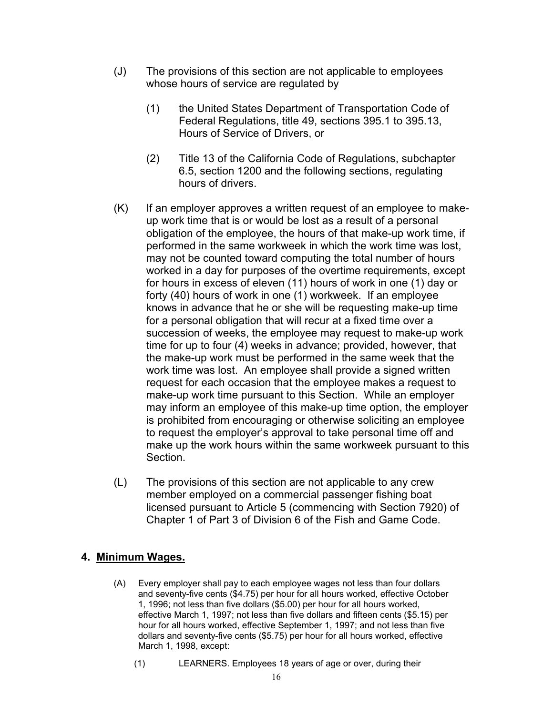- (J) The provisions of this section are not applicable to employees whose hours of service are regulated by
	- (1) the United States Department of Transportation Code of Federal Regulations, title 49, sections 395.1 to 395.13, Hours of Service of Drivers, or
	- (2) Title 13 of the California Code of Regulations, subchapter 6.5, section 1200 and the following sections, regulating hours of drivers.
- $(K)$  If an employer approves a written request of an employee to makeup work time that is or would be lost as a result of a personal obligation of the employee, the hours of that make-up work time, if performed in the same workweek in which the work time was lost, may not be counted toward computing the total number of hours worked in a day for purposes of the overtime requirements, except for hours in excess of eleven (11) hours of work in one (1) day or forty (40) hours of work in one (1) workweek. If an employee knows in advance that he or she will be requesting make-up time for a personal obligation that will recur at a fixed time over a succession of weeks, the employee may request to make-up work time for up to four (4) weeks in advance; provided, however, that the make-up work must be performed in the same week that the work time was lost. An employee shall provide a signed written request for each occasion that the employee makes a request to make-up work time pursuant to this Section. While an employer may inform an employee of this make-up time option, the employer is prohibited from encouraging or otherwise soliciting an employee to request the employer's approval to take personal time off and make up the work hours within the same workweek pursuant to this Section.
- $(L)$  The provisions of this section are not applicable to any crew member employed on a commercial passenger fishing boat licensed pursuant to Article 5 (commencing with Section 7920) of Chapter 1 of Part 3 of Division 6 of the Fish and Game Code.

### **4. Minimum Wages.**

- (A) Every employer shall pay to each employee wages not less than four dollars and seventy-five cents (\$4.75) per hour for all hours worked, effective October 1, 1996; not less than five dollars (\$5.00) per hour for all hours worked, effective March 1, 1997; not less than five dollars and fifteen cents (\$5.15) per hour for all hours worked, effective September 1, 1997; and not less than five dollars and seventy-five cents (\$5.75) per hour for all hours worked, effective March 1, 1998, except:
	- $(1)$ LEARNERS. Employees 18 years of age or over, during their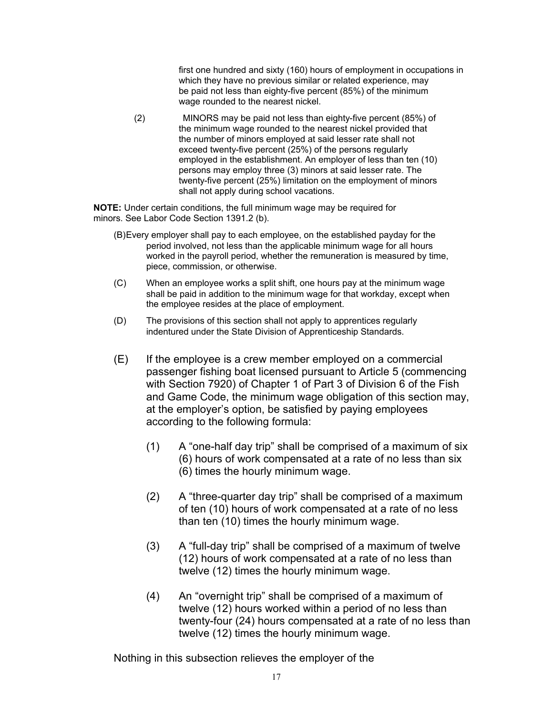first one hundred and sixty (160) hours of employment in occupations in which they have no previous similar or related experience, may be paid not less than eighty-five percent (85%) of the minimum wage rounded to the nearest nickel.

 $(2)$ MINORS may be paid not less than eighty-five percent (85%) of the minimum wage rounded to the nearest nickel provided that the number of minors employed at said lesser rate shall not exceed twenty-five percent (25%) of the persons regularly employed in the establishment. An employer of less than ten (10) persons may employ three (3) minors at said lesser rate. The twenty-five percent (25%) limitation on the employment of minors shall not apply during school vacations.

**NOTE:** Under certain conditions, the full minimum wage may be required for minors. See Labor Code Section 1391.2 (b).

- (B)Every employer shall pay to each employee, on the established payday for the period involved, not less than the applicable minimum wage for all hours worked in the payroll period, whether the remuneration is measured by time, piece, commission, or otherwise.
- (C) When an employee works a split shift, one hours pay at the minimum wage shall be paid in addition to the minimum wage for that workday, except when the employee resides at the place of employment.
- (D) The provisions of this section shall not apply to apprentices regularly indentured under the State Division of Apprenticeship Standards.
- (E) If the employee is a crew member employed on a commercial passenger fishing boat licensed pursuant to Article 5 (commencing with Section 7920) of Chapter 1 of Part 3 of Division 6 of the Fish and Game Code, the minimum wage obligation of this section may, at the employer's option, be satisfied by paying employees according to the following formula:
	- $(1)$  A "one-half day trip" shall be comprised of a maximum of six (6) hours of work compensated at a rate of no less than six (6) times the hourly minimum wage.
	- (2) A "three-quarter day trip" shall be comprised of a maximum of ten (10) hours of work compensated at a rate of no less than ten (10) times the hourly minimum wage.
	- (3) A "full-day trip" shall be comprised of a maximum of twelve (12) hours of work compensated at a rate of no less than twelve (12) times the hourly minimum wage.
	- (4) An "overnight trip" shall be comprised of a maximum of twelve (12) hours worked within a period of no less than twenty-four (24) hours compensated at a rate of no less than twelve (12) times the hourly minimum wage.

Nothing in this subsection relieves the employer of the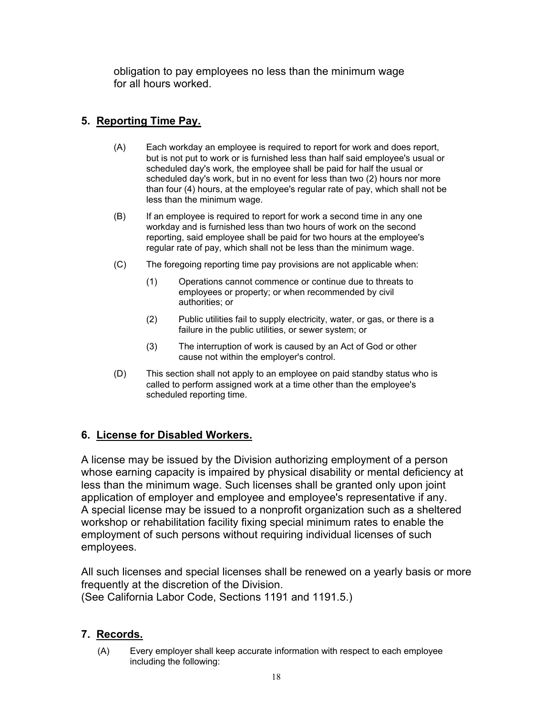obligation to pay employees no less than the minimum wage for all hours worked.

## **5. Reporting Time Pay.**

- (A) Each workday an employee is required to report for work and does report, but is not put to work or is furnished less than half said employee's usual or scheduled day's work, the employee shall be paid for half the usual or scheduled day's work, but in no event for less than two (2) hours nor more than four (4) hours, at the employee's regular rate of pay, which shall not be less than the minimum wage.
- (B) If an employee is required to report for work a second time in any one workday and is furnished less than two hours of work on the second reporting, said employee shall be paid for two hours at the employee's regular rate of pay, which shall not be less than the minimum wage.
- $(C)$ The foregoing reporting time pay provisions are not applicable when:
	- (1) Operations cannot commence or continue due to threats to employees or property; or when recommended by civil authorities; or
	- (2) Public utilities fail to supply electricity, water, or gas, or there is a failure in the public utilities, or sewer system; or
	- (3) The interruption of work is caused by an Act of God or other cause not within the employer's control.
- (D) This section shall not apply to an employee on paid standby status who is called to perform assigned work at a time other than the employee's scheduled reporting time.

# **6. License for Disabled Workers.**

 application of employer and employee and employee's representative if any. A license may be issued by the Division authorizing employment of a person whose earning capacity is impaired by physical disability or mental deficiency at less than the minimum wage. Such licenses shall be granted only upon joint A special license may be issued to a nonprofit organization such as a sheltered workshop or rehabilitation facility fixing special minimum rates to enable the employment of such persons without requiring individual licenses of such employees.

All such licenses and special licenses shall be renewed on a yearly basis or more frequently at the discretion of the Division.

(See California Labor Code, Sections 1191 and 1191.5.)

### **7. Records.**

(A) Every employer shall keep accurate information with respect to each employee including the following: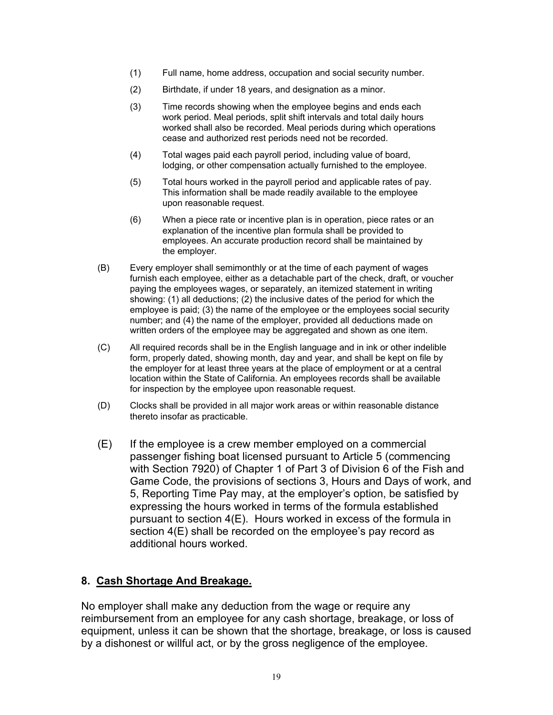- (1) Full name, home address, occupation and social security number.
- (2) Birthdate, if under 18 years, and designation as a minor.
- (3) Time records showing when the employee begins and ends each work period. Meal periods, split shift intervals and total daily hours worked shall also be recorded. Meal periods during which operations cease and authorized rest periods need not be recorded.
- (4) Total wages paid each payroll period, including value of board, lodging, or other compensation actually furnished to the employee.
- (5) Total hours worked in the payroll period and applicable rates of pay. This information shall be made readily available to the employee upon reasonable request.
- (6) When a piece rate or incentive plan is in operation, piece rates or an explanation of the incentive plan formula shall be provided to employees. An accurate production record shall be maintained by the employer.
- (B) Every employer shall semimonthly or at the time of each payment of wages furnish each employee, either as a detachable part of the check, draft, or voucher paying the employees wages, or separately, an itemized statement in writing showing: (1) all deductions; (2) the inclusive dates of the period for which the employee is paid; (3) the name of the employee or the employees social security number; and (4) the name of the employer, provided all deductions made on written orders of the employee may be aggregated and shown as one item.
- (C) All required records shall be in the English language and in ink or other indelible form, properly dated, showing month, day and year, and shall be kept on file by the employer for at least three years at the place of employment or at a central location within the State of California. An employees records shall be available for inspection by the employee upon reasonable request.
- (D) Clocks shall be provided in all major work areas or within reasonable distance thereto insofar as practicable.
- (E) If the employee is a crew member employed on a commercial passenger fishing boat licensed pursuant to Article 5 (commencing with Section 7920) of Chapter 1 of Part 3 of Division 6 of the Fish and Game Code, the provisions of sections 3, Hours and Days of work, and 5, Reporting Time Pay may, at the employer's option, be satisfied by expressing the hours worked in terms of the formula established pursuant to section 4(E). Hours worked in excess of the formula in section 4(E) shall be recorded on the employee's pay record as additional hours worked.

#### **8. Cash Shortage And Breakage.**

No employer shall make any deduction from the wage or require any reimbursement from an employee for any cash shortage, breakage, or loss of equipment, unless it can be shown that the shortage, breakage, or loss is caused by a dishonest or willful act, or by the gross negligence of the employee.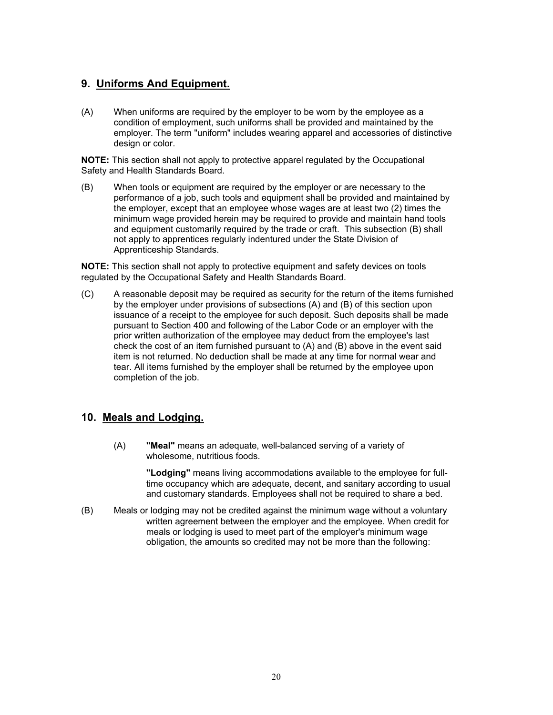#### **9. Uniforms And Equipment.**

(A) When uniforms are required by the employer to be worn by the employee as a condition of employment, such uniforms shall be provided and maintained by the employer. The term "uniform" includes wearing apparel and accessories of distinctive design or color.

**NOTE:** This section shall not apply to protective apparel regulated by the Occupational Safety and Health Standards Board.

(B) When tools or equipment are required by the employer or are necessary to the performance of a job, such tools and equipment shall be provided and maintained by the employer, except that an employee whose wages are at least two (2) times the minimum wage provided herein may be required to provide and maintain hand tools and equipment customarily required by the trade or craft. This subsection (B) shall not apply to apprentices regularly indentured under the State Division of Apprenticeship Standards.

**NOTE:** This section shall not apply to protective equipment and safety devices on tools regulated by the Occupational Safety and Health Standards Board.

(C) A reasonable deposit may be required as security for the return of the items furnished by the employer under provisions of subsections (A) and (B) of this section upon issuance of a receipt to the employee for such deposit. Such deposits shall be made pursuant to Section 400 and following of the Labor Code or an employer with the prior written authorization of the employee may deduct from the employee's last check the cost of an item furnished pursuant to (A) and (B) above in the event said item is not returned. No deduction shall be made at any time for normal wear and tear. All items furnished by the employer shall be returned by the employee upon completion of the job.

#### **10. Meals and Lodging.**

(A) **"Meal"** means an adequate, well-balanced serving of a variety of wholesome, nutritious foods.

> **"Lodging"** means living accommodations available to the employee for fulltime occupancy which are adequate, decent, and sanitary according to usual and customary standards. Employees shall not be required to share a bed.

(B) Meals or lodging may not be credited against the minimum wage without a voluntary written agreement between the employer and the employee. When credit for meals or lodging is used to meet part of the employer's minimum wage obligation, the amounts so credited may not be more than the following: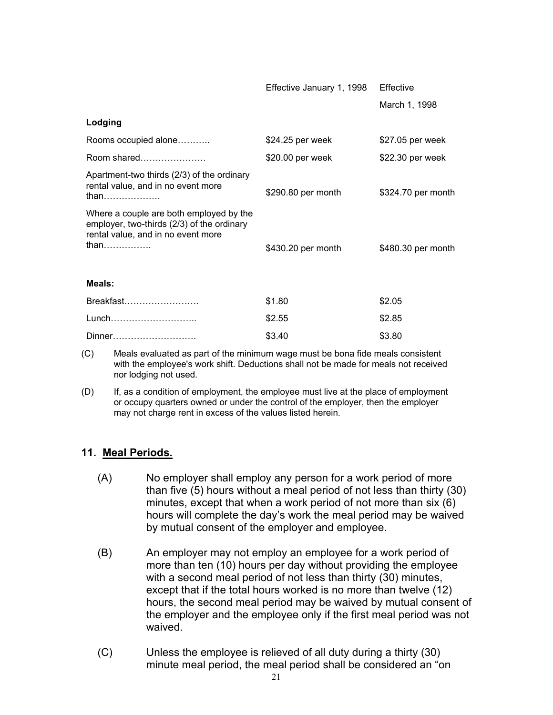|                                                                                                                                     | Effective January 1, 1998 | Effective          |
|-------------------------------------------------------------------------------------------------------------------------------------|---------------------------|--------------------|
|                                                                                                                                     |                           | March 1, 1998      |
| Lodging                                                                                                                             |                           |                    |
| Rooms occupied alone                                                                                                                | \$24.25 per week          | \$27.05 per week   |
| Room shared                                                                                                                         | \$20.00 per week          | \$22.30 per week   |
| Apartment-two thirds (2/3) of the ordinary<br>rental value, and in no event more<br>than                                            | \$290.80 per month        | \$324.70 per month |
| Where a couple are both employed by the<br>employer, two-thirds (2/3) of the ordinary<br>rental value, and in no event more<br>than | \$430.20 per month        | \$480.30 per month |
| Meals:                                                                                                                              |                           |                    |
| Breakfast                                                                                                                           | \$1.80                    | \$2.05             |
| Lunch                                                                                                                               | \$2.55                    | \$2.85             |
| Dinner                                                                                                                              | \$3.40                    | \$3.80             |

- (C) Meals evaluated as part of the minimum wage must be bona fide meals consistent with the employee's work shift. Deductions shall not be made for meals not received nor lodging not used.
- (D) If, as a condition of employment, the employee must live at the place of employment or occupy quarters owned or under the control of the employer, then the employer may not charge rent in excess of the values listed herein.

#### **11. Meal Periods.**

- $(A)$ No employer shall employ any person for a work period of more than five (5) hours without a meal period of not less than thirty (30) minutes, except that when a work period of not more than six (6) hours will complete the day's work the meal period may be waived by mutual consent of the employer and employee.
- $(B)$ An employer may not employ an employee for a work period of more than ten (10) hours per day without providing the employee with a second meal period of not less than thirty (30) minutes, except that if the total hours worked is no more than twelve (12) hours, the second meal period may be waived by mutual consent of the employer and the employee only if the first meal period was not waived.
- (C) Unless the employee is relieved of all duty during a thirty (30) minute meal period, the meal period shall be considered an "on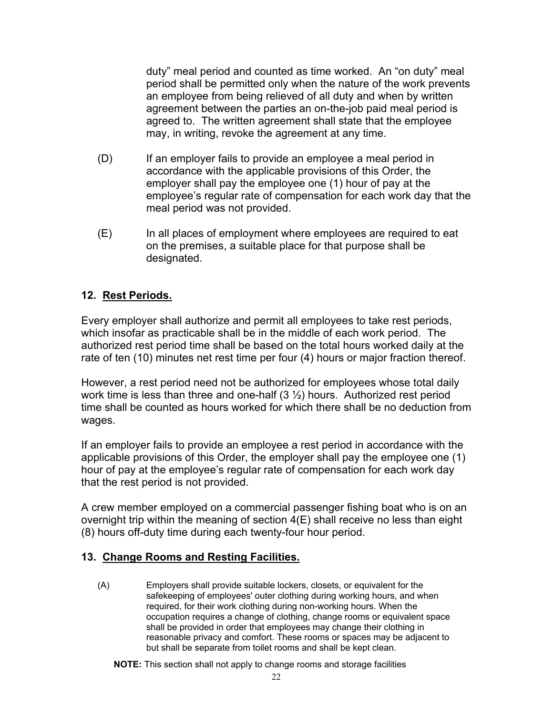duty" meal period and counted as time worked. An "on duty" meal period shall be permitted only when the nature of the work prevents an employee from being relieved of all duty and when by written agreement between the parties an on-the-job paid meal period is agreed to. The written agreement shall state that the employee may, in writing, revoke the agreement at any time.

- $(D)$ If an employer fails to provide an employee a meal period in accordance with the applicable provisions of this Order, the employer shall pay the employee one (1) hour of pay at the employee's regular rate of compensation for each work day that the meal period was not provided.
- (E) In all places of employment where employees are required to eat on the premises, a suitable place for that purpose shall be designated.

### **12. Rest Periods.**

Every employer shall authorize and permit all employees to take rest periods, which insofar as practicable shall be in the middle of each work period. The authorized rest period time shall be based on the total hours worked daily at the rate of ten (10) minutes net rest time per four (4) hours or major fraction thereof.

However, a rest period need not be authorized for employees whose total daily work time is less than three and one-half  $(3 \frac{1}{2})$  hours. Authorized rest period time shall be counted as hours worked for which there shall be no deduction from wages.

If an employer fails to provide an employee a rest period in accordance with the applicable provisions of this Order, the employer shall pay the employee one (1) hour of pay at the employee's regular rate of compensation for each work day that the rest period is not provided.

A crew member employed on a commercial passenger fishing boat who is on an overnight trip within the meaning of section 4(E) shall receive no less than eight (8) hours off-duty time during each twenty-four hour period.

#### **13. Change Rooms and Resting Facilities.**

 $(A)$ Employers shall provide suitable lockers, closets, or equivalent for the safekeeping of employees' outer clothing during working hours, and when required, for their work clothing during non-working hours. When the occupation requires a change of clothing, change rooms or equivalent space shall be provided in order that employees may change their clothing in reasonable privacy and comfort. These rooms or spaces may be adjacent to but shall be separate from toilet rooms and shall be kept clean.

**NOTE:** This section shall not apply to change rooms and storage facilities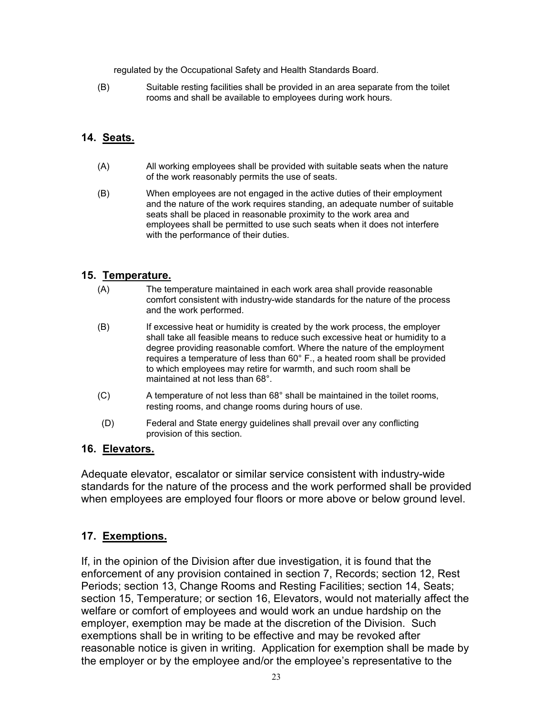regulated by the Occupational Safety and Health Standards Board.

 $(B)$ Suitable resting facilities shall be provided in an area separate from the toilet rooms and shall be available to employees during work hours.

#### **14. Seats.**

- $(A)$ All working employees shall be provided with suitable seats when the nature of the work reasonably permits the use of seats.
- $(B)$ When employees are not engaged in the active duties of their employment and the nature of the work requires standing, an adequate number of suitable seats shall be placed in reasonable proximity to the work area and employees shall be permitted to use such seats when it does not interfere with the performance of their duties.

#### **15. Temperature.**

- $(A)$ The temperature maintained in each work area shall provide reasonable comfort consistent with industry-wide standards for the nature of the process and the work performed.
- $(B)$ If excessive heat or humidity is created by the work process, the employer shall take all feasible means to reduce such excessive heat or humidity to a degree providing reasonable comfort. Where the nature of the employment requires a temperature of less than 60° F., a heated room shall be provided to which employees may retire for warmth, and such room shall be maintained at not less than 68°.
- $(C)$ A temperature of not less than 68° shall be maintained in the toilet rooms, resting rooms, and change rooms during hours of use.
- (D) Federal and State energy guidelines shall prevail over any conflicting provision of this section.

#### **16. Elevators.**

Adequate elevator, escalator or similar service consistent with industry-wide standards for the nature of the process and the work performed shall be provided when employees are employed four floors or more above or below ground level.

#### **17. Exemptions.**

If, in the opinion of the Division after due investigation, it is found that the enforcement of any provision contained in section 7, Records; section 12, Rest Periods; section 13, Change Rooms and Resting Facilities; section 14, Seats; section 15, Temperature; or section 16, Elevators, would not materially affect the welfare or comfort of employees and would work an undue hardship on the employer, exemption may be made at the discretion of the Division. Such exemptions shall be in writing to be effective and may be revoked after reasonable notice is given in writing. Application for exemption shall be made by the employer or by the employee and/or the employee's representative to the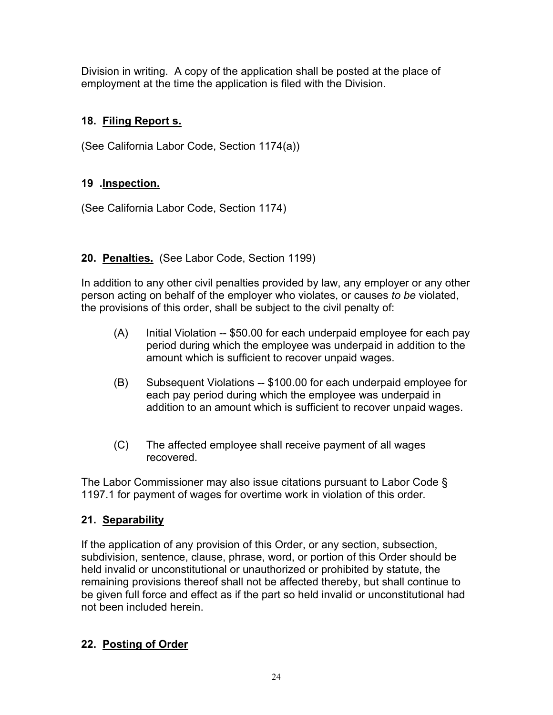Division in writing. A copy of the application shall be posted at the place of employment at the time the application is filed with the Division.

# **18. Filing Report s.**

(See California Labor Code, Section 1174(a))

# **19 .Inspection.**

(See California Labor Code, Section 1174)

# **20. Penalties.** (See Labor Code, Section 1199)

In addition to any other civil penalties provided by law, any employer or any other person acting on behalf of the employer who violates, or causes *to be* violated, the provisions of this order, shall be subject to the civil penalty of:

- (A) Initial Violation -- \$50.00 for each underpaid employee for each pay period during which the employee was underpaid in addition to the amount which is sufficient to recover unpaid wages.
- (B) Subsequent Violations -- \$100.00 for each underpaid employee for each pay period during which the employee was underpaid in addition to an amount which is sufficient to recover unpaid wages.
- (C) The affected employee shall receive payment of all wages recovered.

The Labor Commissioner may also issue citations pursuant to Labor Code § 1197.1 for payment of wages for overtime work in violation of this order*.* 

# **21. Separability**

If the application of any provision of this Order, or any section, subsection, subdivision, sentence, clause, phrase, word, or portion of this Order should be held invalid or unconstitutional or unauthorized or prohibited by statute, the remaining provisions thereof shall not be affected thereby, but shall continue to be given full force and effect as if the part so held invalid or unconstitutional had not been included herein.

# **22. Posting of Order**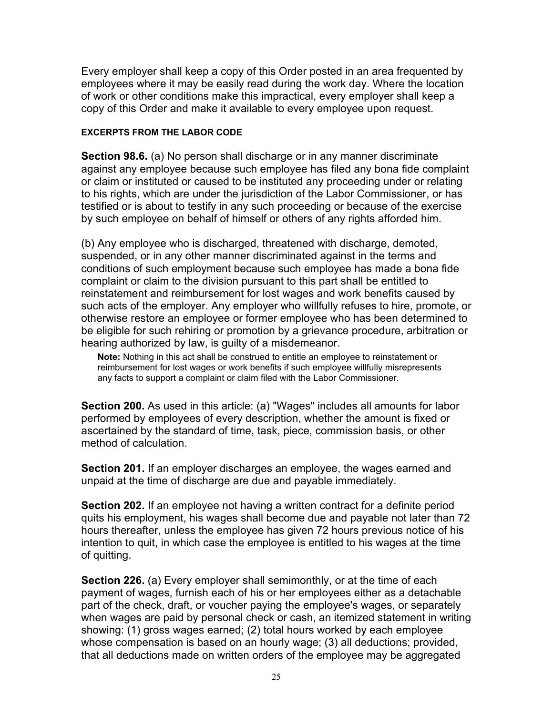Every employer shall keep a copy of this Order posted in an area frequented by employees where it may be easily read during the work day. Where the location of work or other conditions make this impractical, every employer shall keep a copy of this Order and make it available to every employee upon request.

#### **EXCERPTS FROM THE LABOR CODE**

**Section 98.6.** (a) No person shall discharge or in any manner discriminate against any employee because such employee has filed any bona fide complaint or claim or instituted or caused to be instituted any proceeding under or relating to his rights, which are under the jurisdiction of the Labor Commissioner, or has testified or is about to testify in any such proceeding or because of the exercise by such employee on behalf of himself or others of any rights afforded him.

(b) Any employee who is discharged, threatened with discharge, demoted, suspended, or in any other manner discriminated against in the terms and conditions of such employment because such employee has made a bona fide complaint or claim to the division pursuant to this part shall be entitled to reinstatement and reimbursement for lost wages and work benefits caused by such acts of the employer. Any employer who willfully refuses to hire, promote, or otherwise restore an employee or former employee who has been determined to be eligible for such rehiring or promotion by a grievance procedure, arbitration or hearing authorized by law, is guilty of a misdemeanor.

**Note:** Nothing in this act shall be construed to entitle an employee to reinstatement or reimbursement for lost wages or work benefits if such employee willfully misrepresents any facts to support a complaint or claim filed with the Labor Commissioner.

**Section 200.** As used in this article: (a) "Wages" includes all amounts for labor performed by employees of every description, whether the amount is fixed or ascertained by the standard of time, task, piece, commission basis, or other method of calculation.

**Section 201.** If an employer discharges an employee, the wages earned and unpaid at the time of discharge are due and payable immediately.

**Section 202.** If an employee not having a written contract for a definite period quits his employment, his wages shall become due and payable not later than 72 hours thereafter, unless the employee has given 72 hours previous notice of his intention to quit, in which case the employee is entitled to his wages at the time of quitting.

**Section 226.** (a) Every employer shall semimonthly, or at the time of each payment of wages, furnish each of his or her employees either as a detachable part of the check, draft, or voucher paying the employee's wages, or separately when wages are paid by personal check or cash, an itemized statement in writing showing: (1) gross wages earned; (2) total hours worked by each employee whose compensation is based on an hourly wage; (3) all deductions; provided, that all deductions made on written orders of the employee may be aggregated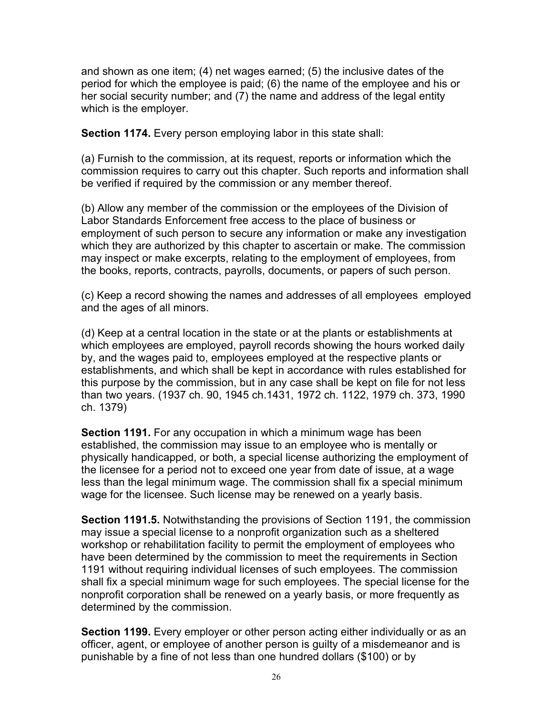and shown as one item; (4) net wages earned; (5) the inclusive dates of the period for which the employee is paid; (6) the name of the employee and his or her social security number; and (7) the name and address of the legal entity which is the employer.

**Section 1174.** Every person employing labor in this state shall:

(a) Furnish to the commission, at its request, reports or information which the commission requires to carry out this chapter. Such reports and information shall be verified if required by the commission or any member thereof.

(b) Allow any member of the commission or the employees of the Division of Labor Standards Enforcement free access to the place of business or employment of such person to secure any information or make any investigation which they are authorized by this chapter to ascertain or make. The commission may inspect or make excerpts, relating to the employment of employees, from the books, reports, contracts, payrolls, documents, or papers of such person.

(c) Keep a record showing the names and addresses of all employees employed and the ages of all minors.

(d) Keep at a central location in the state or at the plants or establishments at which employees are employed, payroll records showing the hours worked daily by, and the wages paid to, employees employed at the respective plants or establishments, and which shall be kept in accordance with rules established for this purpose by the commission, but in any case shall be kept on file for not less than two years. (1937 ch. 90, 1945 ch.1431, 1972 ch. 1122, 1979 ch. 373, 1990 ch. 1379)

**Section 1191.** For any occupation in which a minimum wage has been established, the commission may issue to an employee who is mentally or physically handicapped, or both, a special license authorizing the employment of the licensee for a period not to exceed one year from date of issue, at a wage less than the legal minimum wage. The commission shall fix a special minimum wage for the licensee. Such license may be renewed on a yearly basis.

**Section 1191.5.** Notwithstanding the provisions of Section 1191, the commission may issue a special license to a nonprofit organization such as a sheltered workshop or rehabilitation facility to permit the employment of employees who have been determined by the commission to meet the requirements in Section 1191 without requiring individual licenses of such employees. The commission shall fix a special minimum wage for such employees. The special license for the nonprofit corporation shall be renewed on a yearly basis, or more frequently as determined by the commission.

**Section 1199.** Every employer or other person acting either individually or as an officer, agent, or employee of another person is guilty of a misdemeanor and is punishable by a fine of not less than one hundred dollars (\$100) or by